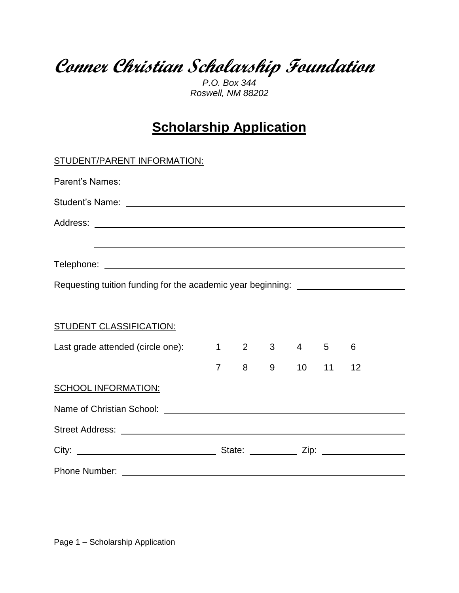**Conner Christian Scholarship Foundation**

*P.O. Box 344 Roswell, NM 88202*

## **Scholarship Application**

| <b>STUDENT/PARENT INFORMATION:</b>                                                |                |   |   |                                         |    |    |  |
|-----------------------------------------------------------------------------------|----------------|---|---|-----------------------------------------|----|----|--|
|                                                                                   |                |   |   |                                         |    |    |  |
|                                                                                   |                |   |   |                                         |    |    |  |
|                                                                                   |                |   |   |                                         |    |    |  |
| ,我们也不能在这里的时候,我们也不能在这里的时候,我们也不能会在这里的时候,我们也不能会在这里的时候,我们也不能会在这里的时候,我们也不能会在这里的时候,我们也不 |                |   |   |                                         |    |    |  |
|                                                                                   |                |   |   |                                         |    |    |  |
| Requesting tuition funding for the academic year beginning: ____________________  |                |   |   |                                         |    |    |  |
| <b>STUDENT CLASSIFICATION:</b>                                                    |                |   |   |                                         |    |    |  |
| Last grade attended (circle one):                                                 |                |   |   | $1 \qquad 2 \qquad 3 \qquad 4 \qquad 5$ |    | 6  |  |
|                                                                                   | $\overline{7}$ | 8 | 9 | 10                                      | 11 | 12 |  |
| <b>SCHOOL INFORMATION:</b>                                                        |                |   |   |                                         |    |    |  |
|                                                                                   |                |   |   |                                         |    |    |  |
|                                                                                   |                |   |   |                                         |    |    |  |
|                                                                                   |                |   |   |                                         |    |    |  |
|                                                                                   |                |   |   |                                         |    |    |  |